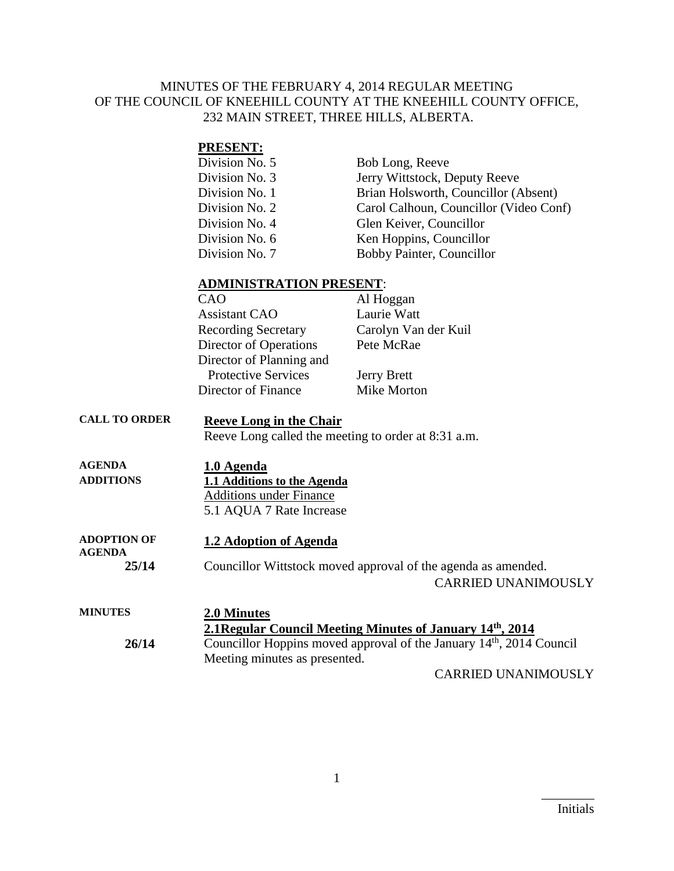#### MINUTES OF THE FEBRUARY 4, 2014 REGULAR MEETING OF THE COUNCIL OF KNEEHILL COUNTY AT THE KNEEHILL COUNTY OFFICE, 232 MAIN STREET, THREE HILLS, ALBERTA.

#### **PRESENT:**

| Division No. 5 | Bob Long, Reeve                        |
|----------------|----------------------------------------|
| Division No. 3 | Jerry Wittstock, Deputy Reeve          |
| Division No. 1 | Brian Holsworth, Councillor (Absent)   |
| Division No. 2 | Carol Calhoun, Councillor (Video Conf) |
| Division No. 4 | Glen Keiver, Councillor                |
| Division No. 6 | Ken Hoppins, Councillor                |
| Division No. 7 | Bobby Painter, Councillor              |

#### **ADMINISTRATION PRESENT**:

| CAO                        | Al Hoggan            |
|----------------------------|----------------------|
| <b>Assistant CAO</b>       | Laurie Watt          |
| <b>Recording Secretary</b> | Carolyn Van der Kuil |
| Director of Operations     | Pete McRae           |
| Director of Planning and   |                      |
| <b>Protective Services</b> | <b>Jerry Brett</b>   |
| Director of Finance        | Mike Morton          |

# **CALL TO ORDER Reeve Long in the Chair**

Reeve Long called the meeting to order at 8:31 a.m.

| <b>AGENDA</b><br><b>ADDITIONS</b>            | 1.0 Agenda<br>1.1 Additions to the Agenda<br><b>Additions under Finance</b><br>5.1 AQUA 7 Rate Increase                                                                                       |
|----------------------------------------------|-----------------------------------------------------------------------------------------------------------------------------------------------------------------------------------------------|
| <b>ADOPTION OF</b><br><b>AGENDA</b><br>25/14 | 1.2 Adoption of Agenda<br>Councillor Wittstock moved approval of the agenda as amended.<br><b>CARRIED UNANIMOUSLY</b>                                                                         |
| <b>MINUTES</b><br>26/14                      | 2.0 Minutes<br>2.1 Regular Council Meeting Minutes of January 14th, 2014<br>Councillor Hoppins moved approval of the January 14 <sup>th</sup> , 2014 Council<br>Meeting minutes as presented. |

CARRIED UNANIMOUSLY

 $\overline{\phantom{a}}$  . The set of the set of the set of the set of the set of the set of the set of the set of the set of the set of the set of the set of the set of the set of the set of the set of the set of the set of the set o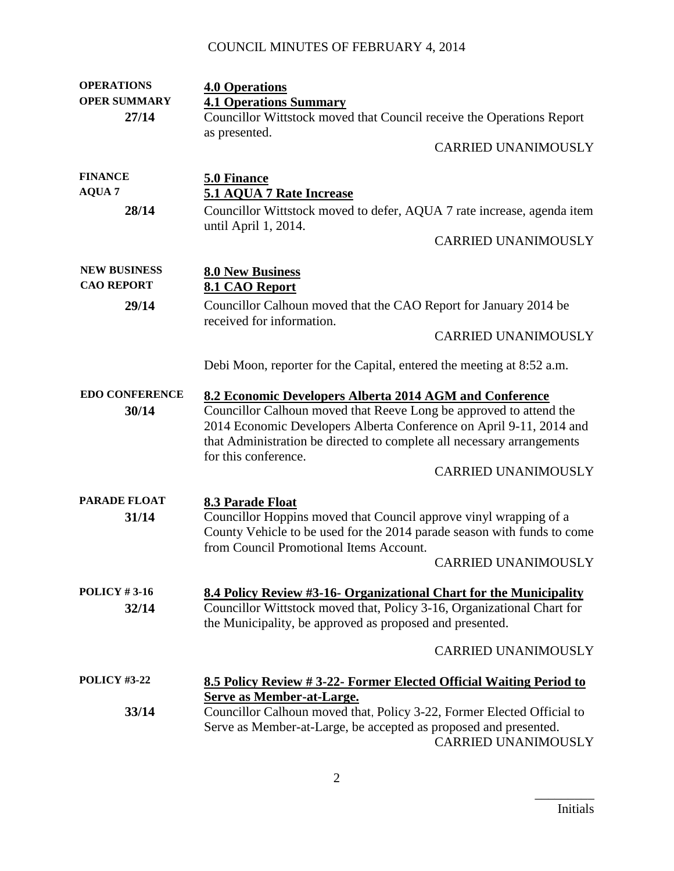| <b>OPERATIONS</b>     | <b>4.0 Operations</b>                                                                                      |
|-----------------------|------------------------------------------------------------------------------------------------------------|
| <b>OPER SUMMARY</b>   | <b>4.1 Operations Summary</b>                                                                              |
| 27/14                 | Councillor Wittstock moved that Council receive the Operations Report                                      |
|                       | as presented.                                                                                              |
|                       | <b>CARRIED UNANIMOUSLY</b>                                                                                 |
|                       |                                                                                                            |
| <b>FINANCE</b>        | 5.0 Finance                                                                                                |
| <b>AQUA 7</b>         | 5.1 AQUA 7 Rate Increase                                                                                   |
| 28/14                 | Councillor Wittstock moved to defer, AQUA 7 rate increase, agenda item                                     |
|                       | until April 1, 2014.                                                                                       |
|                       | <b>CARRIED UNANIMOUSLY</b>                                                                                 |
| <b>NEW BUSINESS</b>   | <b>8.0 New Business</b>                                                                                    |
| <b>CAO REPORT</b>     | 8.1 CAO Report                                                                                             |
| 29/14                 | Councillor Calhoun moved that the CAO Report for January 2014 be                                           |
|                       | received for information.                                                                                  |
|                       | <b>CARRIED UNANIMOUSLY</b>                                                                                 |
|                       |                                                                                                            |
|                       | Debi Moon, reporter for the Capital, entered the meeting at 8:52 a.m.                                      |
|                       |                                                                                                            |
| <b>EDO CONFERENCE</b> | 8.2 Economic Developers Alberta 2014 AGM and Conference                                                    |
| 30/14                 | Councillor Calhoun moved that Reeve Long be approved to attend the                                         |
|                       | 2014 Economic Developers Alberta Conference on April 9-11, 2014 and                                        |
|                       | that Administration be directed to complete all necessary arrangements<br>for this conference.             |
|                       | <b>CARRIED UNANIMOUSLY</b>                                                                                 |
|                       |                                                                                                            |
| <b>PARADE FLOAT</b>   | 8.3 Parade Float                                                                                           |
| 31/14                 | Councillor Hoppins moved that Council approve vinyl wrapping of a                                          |
|                       | County Vehicle to be used for the 2014 parade season with funds to come                                    |
|                       | from Council Promotional Items Account.                                                                    |
|                       | <b>CARRIED UNANIMOUSLY</b>                                                                                 |
| <b>POLICY #3-16</b>   | 8.4 Policy Review #3-16- Organizational Chart for the Municipality                                         |
| 32/14                 | Councillor Wittstock moved that, Policy 3-16, Organizational Chart for                                     |
|                       | the Municipality, be approved as proposed and presented.                                                   |
|                       |                                                                                                            |
|                       | <b>CARRIED UNANIMOUSLY</b>                                                                                 |
|                       |                                                                                                            |
| <b>POLICY #3-22</b>   | 8.5 Policy Review # 3-22- Former Elected Official Waiting Period to                                        |
| 33/14                 | <b>Serve as Member-at-Large.</b><br>Councillor Calhoun moved that, Policy 3-22, Former Elected Official to |
|                       | Serve as Member-at-Large, be accepted as proposed and presented.                                           |
|                       | <b>CARRIED UNANIMOUSLY</b>                                                                                 |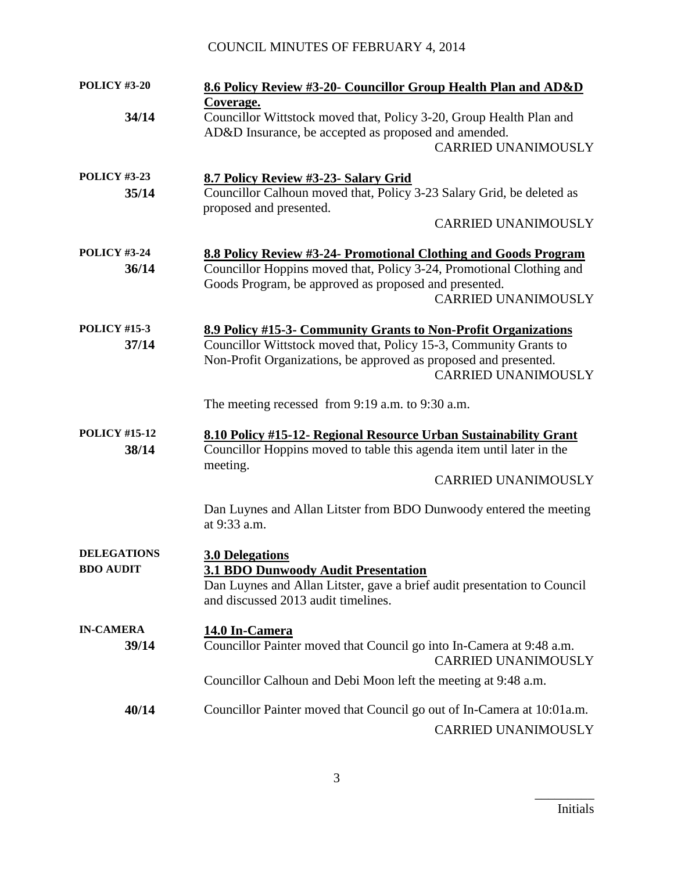| <b>POLICY #3-20</b>                    | 8.6 Policy Review #3-20- Councillor Group Health Plan and AD&D                                                                                                                                                                        |
|----------------------------------------|---------------------------------------------------------------------------------------------------------------------------------------------------------------------------------------------------------------------------------------|
| 34/14                                  | Coverage.<br>Councillor Wittstock moved that, Policy 3-20, Group Health Plan and<br>AD&D Insurance, be accepted as proposed and amended.<br><b>CARRIED UNANIMOUSLY</b>                                                                |
| <b>POLICY #3-23</b><br>35/14           | 8.7 Policy Review #3-23- Salary Grid<br>Councillor Calhoun moved that, Policy 3-23 Salary Grid, be deleted as<br>proposed and presented.<br><b>CARRIED UNANIMOUSLY</b>                                                                |
| <b>POLICY #3-24</b><br>36/14           | 8.8 Policy Review #3-24- Promotional Clothing and Goods Program<br>Councillor Hoppins moved that, Policy 3-24, Promotional Clothing and<br>Goods Program, be approved as proposed and presented.<br><b>CARRIED UNANIMOUSLY</b>        |
| <b>POLICY #15-3</b><br>37/14           | 8.9 Policy #15-3- Community Grants to Non-Profit Organizations<br>Councillor Wittstock moved that, Policy 15-3, Community Grants to<br>Non-Profit Organizations, be approved as proposed and presented.<br><b>CARRIED UNANIMOUSLY</b> |
|                                        | The meeting recessed from 9:19 a.m. to 9:30 a.m.                                                                                                                                                                                      |
| <b>POLICY #15-12</b><br>38/14          | 8.10 Policy #15-12- Regional Resource Urban Sustainability Grant<br>Councillor Hoppins moved to table this agenda item until later in the<br>meeting.<br><b>CARRIED UNANIMOUSLY</b>                                                   |
|                                        | Dan Luynes and Allan Litster from BDO Dunwoody entered the meeting<br>at 9:33 a.m.                                                                                                                                                    |
| <b>DELEGATIONS</b><br><b>BDO AUDIT</b> | <b>3.0 Delegations</b><br>3.1 BDO Dunwoody Audit Presentation<br>Dan Luynes and Allan Litster, gave a brief audit presentation to Council<br>and discussed 2013 audit timelines.                                                      |
| <b>IN-CAMERA</b><br>39/14              | 14.0 In-Camera<br>Councillor Painter moved that Council go into In-Camera at 9:48 a.m.<br><b>CARRIED UNANIMOUSLY</b>                                                                                                                  |
|                                        | Councillor Calhoun and Debi Moon left the meeting at 9:48 a.m.                                                                                                                                                                        |
| 40/14                                  | Councillor Painter moved that Council go out of In-Camera at 10:01a.m.<br><b>CARRIED UNANIMOUSLY</b>                                                                                                                                  |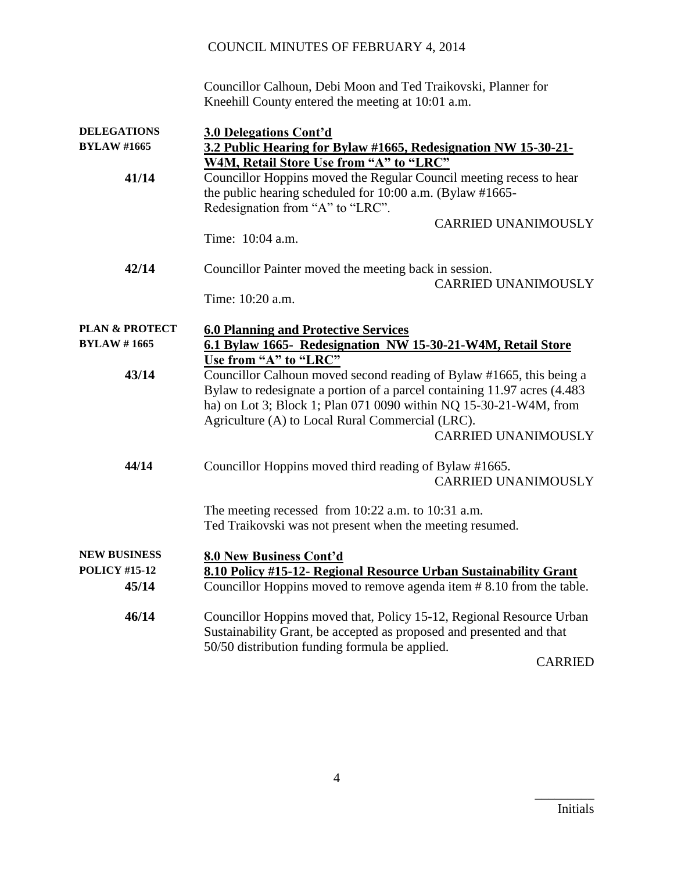Councillor Calhoun, Debi Moon and Ted Traikovski, Planner for Kneehill County entered the meeting at 10:01 a.m.

| <b>DELEGATIONS</b>        | 3.0 Delegations Cont'd                                                   |  |
|---------------------------|--------------------------------------------------------------------------|--|
| <b>BYLAW #1665</b>        | 3.2 Public Hearing for Bylaw #1665, Redesignation NW 15-30-21-           |  |
|                           | W4M, Retail Store Use from "A" to "LRC"                                  |  |
| 41/14                     | Councillor Hoppins moved the Regular Council meeting recess to hear      |  |
|                           | the public hearing scheduled for 10:00 a.m. (Bylaw #1665-                |  |
|                           | Redesignation from "A" to "LRC".                                         |  |
|                           | <b>CARRIED UNANIMOUSLY</b>                                               |  |
|                           | Time: 10:04 a.m.                                                         |  |
| 42/14                     | Councillor Painter moved the meeting back in session.                    |  |
|                           | <b>CARRIED UNANIMOUSLY</b>                                               |  |
|                           | Time: 10:20 a.m.                                                         |  |
| <b>PLAN &amp; PROTECT</b> | <b>6.0 Planning and Protective Services</b>                              |  |
| <b>BYLAW #1665</b>        | 6.1 Bylaw 1665- Redesignation NW 15-30-21-W4M, Retail Store              |  |
|                           | Use from "A" to "LRC"                                                    |  |
| 43/14                     | Councillor Calhoun moved second reading of Bylaw #1665, this being a     |  |
|                           | Bylaw to redesignate a portion of a parcel containing 11.97 acres (4.483 |  |
|                           | ha) on Lot 3; Block 1; Plan 071 0090 within NQ 15-30-21-W4M, from        |  |
|                           | Agriculture (A) to Local Rural Commercial (LRC).                         |  |
|                           | <b>CARRIED UNANIMOUSLY</b>                                               |  |
| 44/14                     | Councillor Hoppins moved third reading of Bylaw #1665.                   |  |
|                           | <b>CARRIED UNANIMOUSLY</b>                                               |  |
|                           |                                                                          |  |
|                           | The meeting recessed from 10:22 a.m. to 10:31 a.m.                       |  |
|                           | Ted Traikovski was not present when the meeting resumed.                 |  |
| <b>NEW BUSINESS</b>       | 8.0 New Business Cont'd                                                  |  |
| <b>POLICY #15-12</b>      | 8.10 Policy #15-12- Regional Resource Urban Sustainability Grant         |  |
| 45/14                     | Councillor Hoppins moved to remove agenda item #8.10 from the table.     |  |
| 46/14                     | Councillor Hoppins moved that, Policy 15-12, Regional Resource Urban     |  |
|                           | Sustainability Grant, be accepted as proposed and presented and that     |  |
|                           | 50/50 distribution funding formula be applied.                           |  |
|                           | <b>CARRIED</b>                                                           |  |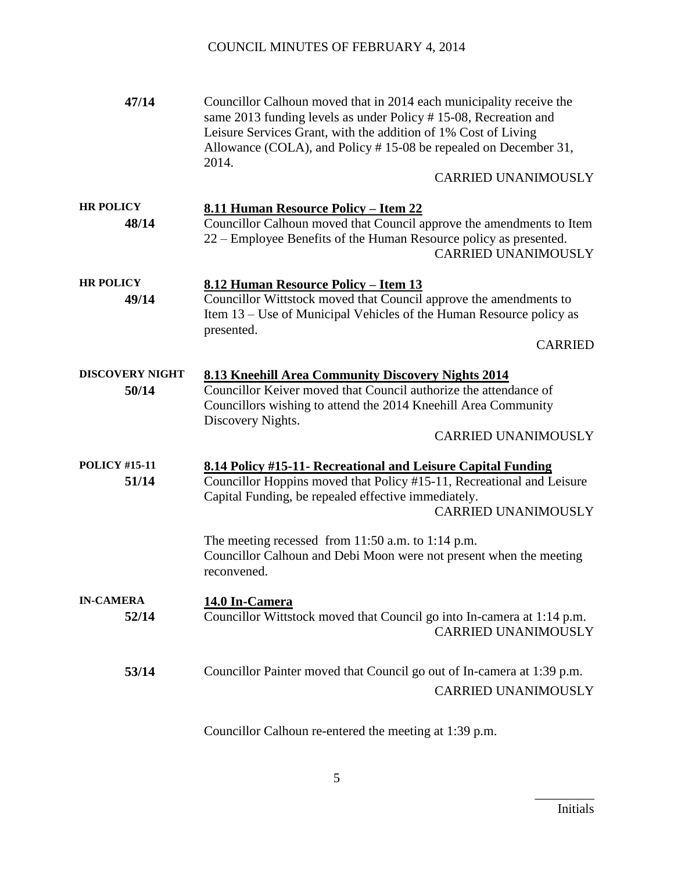| 47/14                           | Councillor Calhoun moved that in 2014 each municipality receive the<br>same 2013 funding levels as under Policy #15-08, Recreation and<br>Leisure Services Grant, with the addition of 1% Cost of Living<br>Allowance (COLA), and Policy #15-08 be repealed on December 31,<br>2014.<br><b>CARRIED UNANIMOUSLY</b>                                                       |
|---------------------------------|--------------------------------------------------------------------------------------------------------------------------------------------------------------------------------------------------------------------------------------------------------------------------------------------------------------------------------------------------------------------------|
| <b>HR POLICY</b><br>48/14       | 8.11 Human Resource Policy - Item 22<br>Councillor Calhoun moved that Council approve the amendments to Item<br>22 – Employee Benefits of the Human Resource policy as presented.<br><b>CARRIED UNANIMOUSLY</b>                                                                                                                                                          |
| <b>HR POLICY</b><br>49/14       | 8.12 Human Resource Policy – Item 13<br>Councillor Wittstock moved that Council approve the amendments to<br>Item 13 – Use of Municipal Vehicles of the Human Resource policy as<br>presented.<br><b>CARRIED</b>                                                                                                                                                         |
| <b>DISCOVERY NIGHT</b><br>50/14 | <b>8.13 Kneehill Area Community Discovery Nights 2014</b><br>Councillor Keiver moved that Council authorize the attendance of<br>Councillors wishing to attend the 2014 Kneehill Area Community<br>Discovery Nights.<br><b>CARRIED UNANIMOUSLY</b>                                                                                                                       |
| <b>POLICY #15-11</b><br>51/14   | 8.14 Policy #15-11- Recreational and Leisure Capital Funding<br>Councillor Hoppins moved that Policy #15-11, Recreational and Leisure<br>Capital Funding, be repealed effective immediately.<br><b>CARRIED UNANIMOUSLY</b><br>The meeting recessed from $11:50$ a.m. to $1:14$ p.m.<br>Councillor Calhoun and Debi Moon were not present when the meeting<br>reconvened. |
| <b>IN-CAMERA</b><br>52/14       | 14.0 In-Camera<br>Councillor Wittstock moved that Council go into In-camera at 1:14 p.m.<br><b>CARRIED UNANIMOUSLY</b>                                                                                                                                                                                                                                                   |
| 53/14                           | Councillor Painter moved that Council go out of In-camera at 1:39 p.m.<br><b>CARRIED UNANIMOUSLY</b>                                                                                                                                                                                                                                                                     |

Councillor Calhoun re-entered the meeting at 1:39 p.m.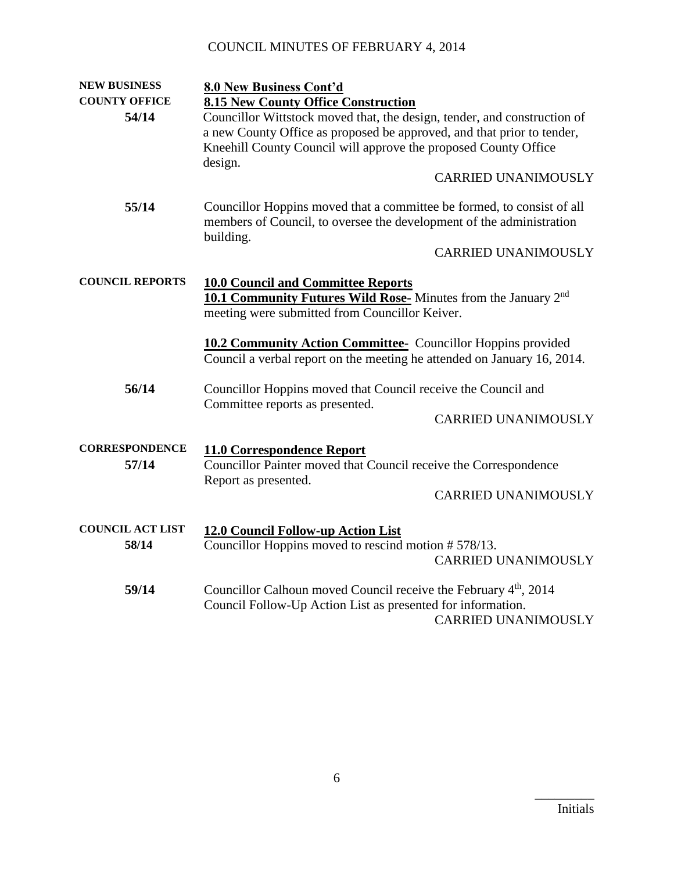| <b>NEW BUSINESS</b><br><b>COUNTY OFFICE</b><br>54/14 | 8.0 New Business Cont'd<br><b>8.15 New County Office Construction</b><br>Councillor Wittstock moved that, the design, tender, and construction of<br>a new County Office as proposed be approved, and that prior to tender,<br>Kneehill County Council will approve the proposed County Office<br>design.<br><b>CARRIED UNANIMOUSLY</b> |
|------------------------------------------------------|-----------------------------------------------------------------------------------------------------------------------------------------------------------------------------------------------------------------------------------------------------------------------------------------------------------------------------------------|
| 55/14                                                | Councillor Hoppins moved that a committee be formed, to consist of all<br>members of Council, to oversee the development of the administration<br>building.<br><b>CARRIED UNANIMOUSLY</b>                                                                                                                                               |
| <b>COUNCIL REPORTS</b>                               | <b>10.0 Council and Committee Reports</b><br><b>10.1 Community Futures Wild Rose-</b> Minutes from the January 2 <sup>nd</sup><br>meeting were submitted from Councillor Keiver.                                                                                                                                                        |
|                                                      | <b>10.2 Community Action Committee-</b> Councillor Hoppins provided<br>Council a verbal report on the meeting he attended on January 16, 2014.                                                                                                                                                                                          |
| 56/14                                                | Councillor Hoppins moved that Council receive the Council and<br>Committee reports as presented.<br><b>CARRIED UNANIMOUSLY</b>                                                                                                                                                                                                          |
| <b>CORRESPONDENCE</b><br>57/14                       | 11.0 Correspondence Report<br>Councillor Painter moved that Council receive the Correspondence<br>Report as presented.<br><b>CARRIED UNANIMOUSLY</b>                                                                                                                                                                                    |
| <b>COUNCIL ACT LIST</b><br>58/14                     | <b>12.0 Council Follow-up Action List</b><br>Councillor Hoppins moved to rescind motion #578/13.<br><b>CARRIED UNANIMOUSLY</b>                                                                                                                                                                                                          |
| 59/14                                                | Councillor Calhoun moved Council receive the February 4 <sup>th</sup> , 2014<br>Council Follow-Up Action List as presented for information.<br><b>CARRIED UNANIMOUSLY</b>                                                                                                                                                               |